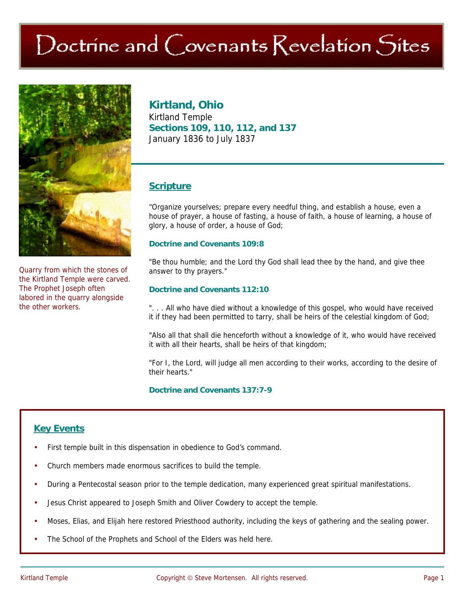# Doctrine and Covenants Revelation Sites



Quarry from which the stones of the Kirtland Temple were carved. The Prophet Joseph often labored in the quarry alongside the other workers.

# **Kirtland, Ohio**

Kirtland Temple **Sections 109, 110, 112, and 137**  January 1836 to July 1837

## **Scripture**

"Organize yourselves; prepare every needful thing, and establish a house, even a house of prayer, a house of fasting, a house of faith, a house of learning, a house of glory, a house of order, a house of God;

#### **Doctrine and Covenants 109:8**

"Be thou humble; and the Lord thy God shall lead thee by the hand, and give thee answer to thy prayers."

#### **Doctrine and Covenants 112:10**

". . . All who have died without a knowledge of this gospel, who would have received it if they had been permitted to tarry, shall be heirs of the celestial kingdom of God;

"Also all that shall die henceforth without a knowledge of it, who would have received it with all their hearts, shall be heirs of that kingdom;

"For I, the Lord, will judge all men according to their works, according to the desire of their hearts."

**Doctrine and Covenants 137:7-9** 

# **Key Events**

- First temple built in this dispensation in obedience to God's command.
- Church members made enormous sacrifices to build the temple.
- During a Pentecostal season prior to the temple dedication, many experienced great spiritual manifestations.
- Jesus Christ appeared to Joseph Smith and Oliver Cowdery to accept the temple.
- Moses, Elias, and Elijah here restored Priesthood authority, including the keys of gathering and the sealing power.
- The School of the Prophets and School of the Elders was held here.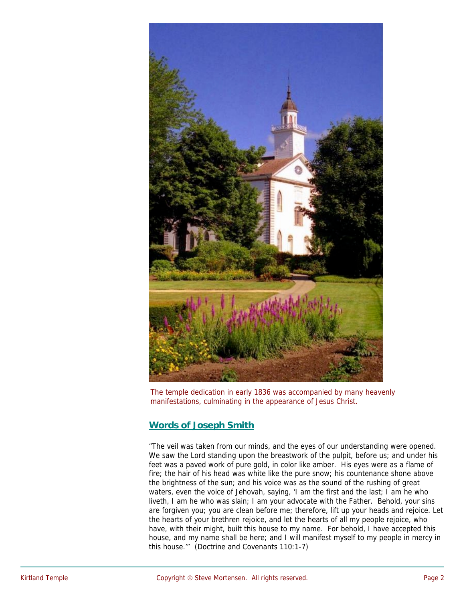

The temple dedication in early 1836 was accompanied by many heavenly manifestations, culminating in the appearance of Jesus Christ.

## **Words of Joseph Smith**

"The veil was taken from our minds, and the eyes of our understanding were opened. We saw the Lord standing upon the breastwork of the pulpit, before us; and under his feet was a paved work of pure gold, in color like amber. His eyes were as a flame of fire; the hair of his head was white like the pure snow; his countenance shone above the brightness of the sun; and his voice was as the sound of the rushing of great waters, even the voice of Jehovah, saying, 'I am the first and the last; I am he who liveth, I am he who was slain; I am your advocate with the Father. Behold, your sins are forgiven you; you are clean before me; therefore, lift up your heads and rejoice. Let the hearts of your brethren rejoice, and let the hearts of all my people rejoice, who have, with their might, built this house to my name. For behold, I have accepted this house, and my name shall be here; and I will manifest myself to my people in mercy in this house.'" (Doctrine and Covenants 110:1-7)